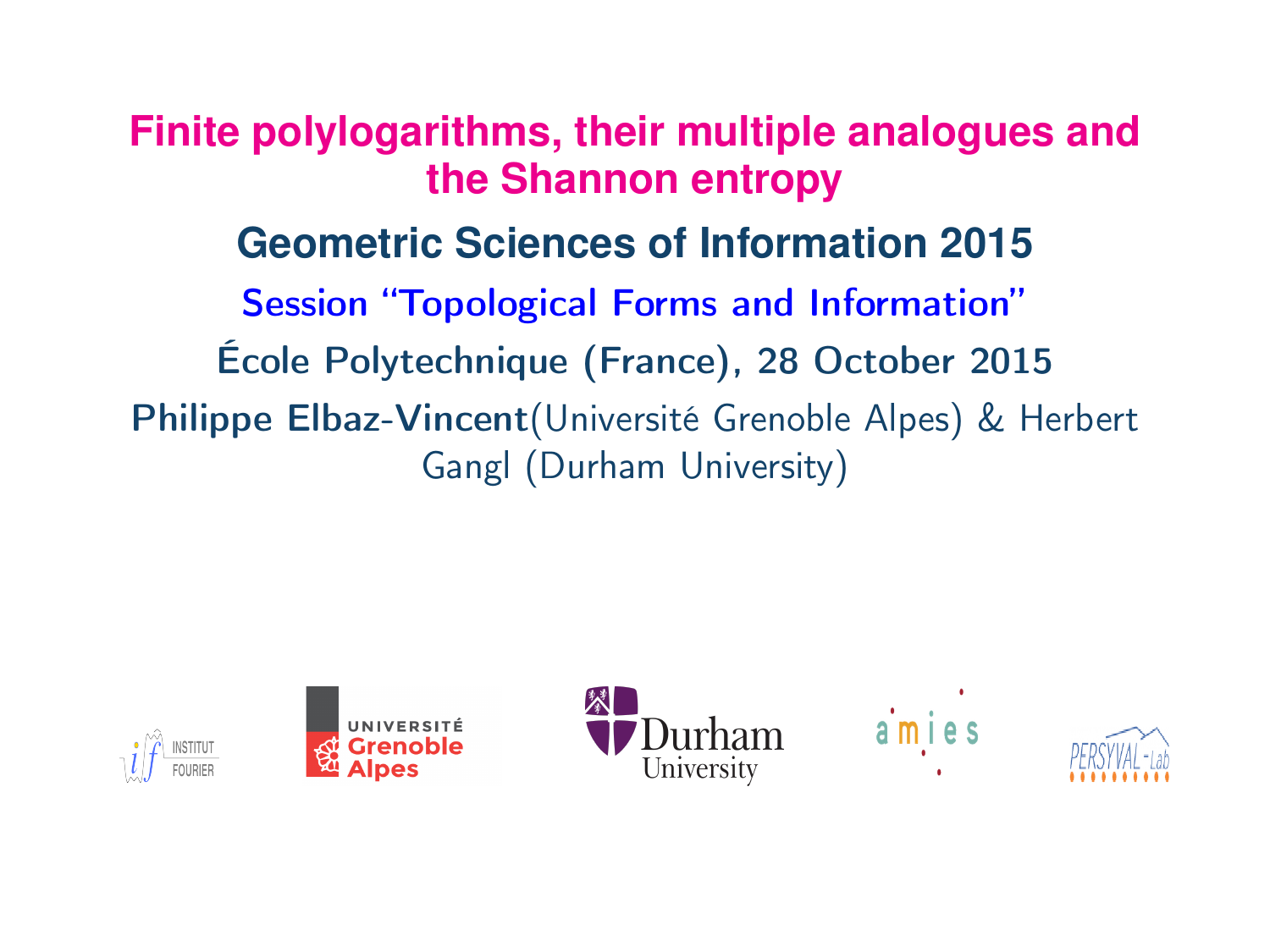**Finite polylogarithms, their multiple analogues and the Shannon entropy Geometric Sciences of Information 2015** Session "Topological Forms and Information" École Polytechnique (France), 28 October 2015 Philippe Elbaz-Vincent(Université Grenoble Alpes) & Herbert Gangl (Durham University)

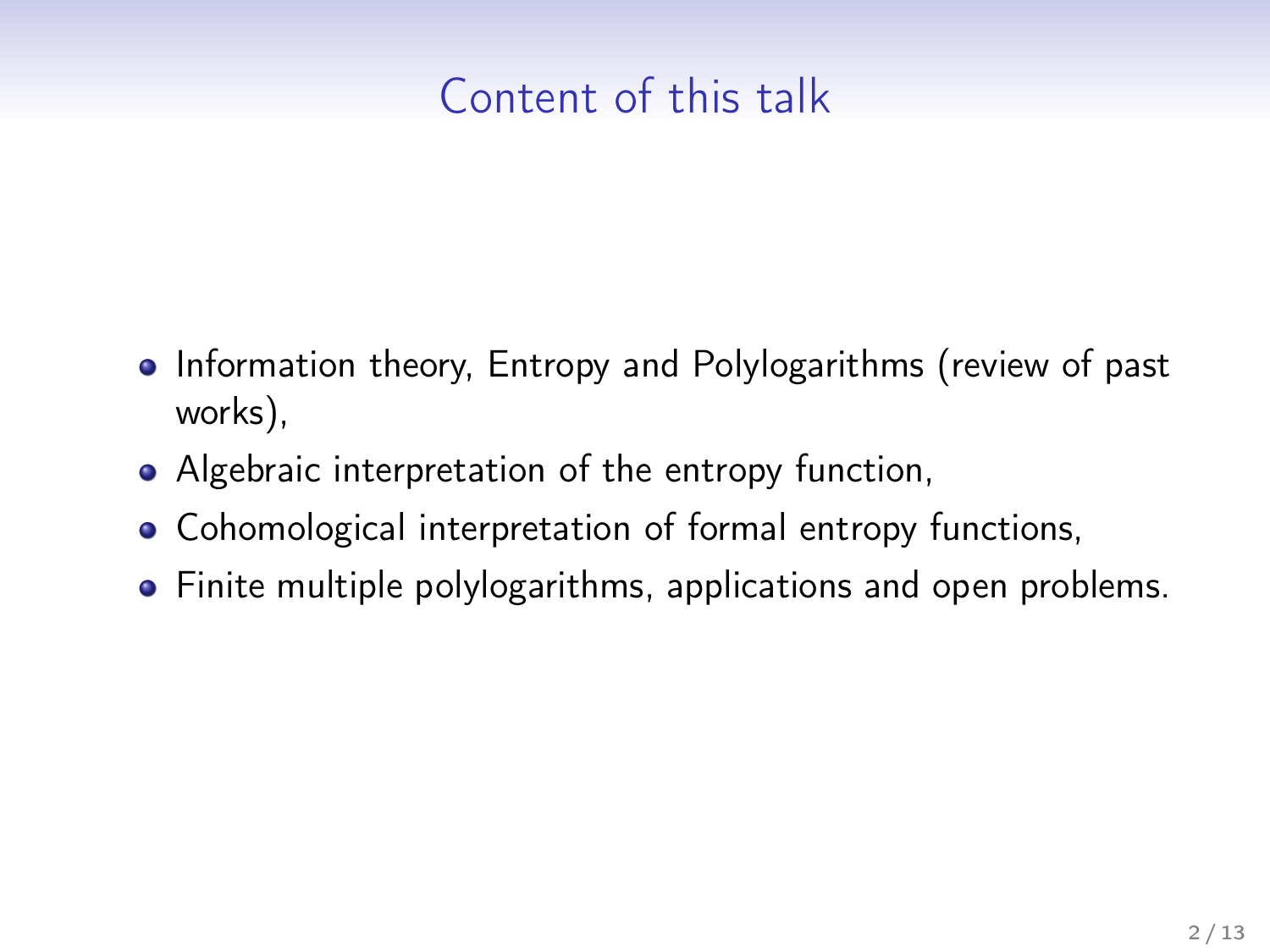# Content of this talk

- Information theory, Entropy and Polylogarithms (review of past works),
- Algebraic interpretation of the entropy function,
- Cohomological interpretation of formal entropy functions,
- Finite multiple polylogarithms, applications and open problems.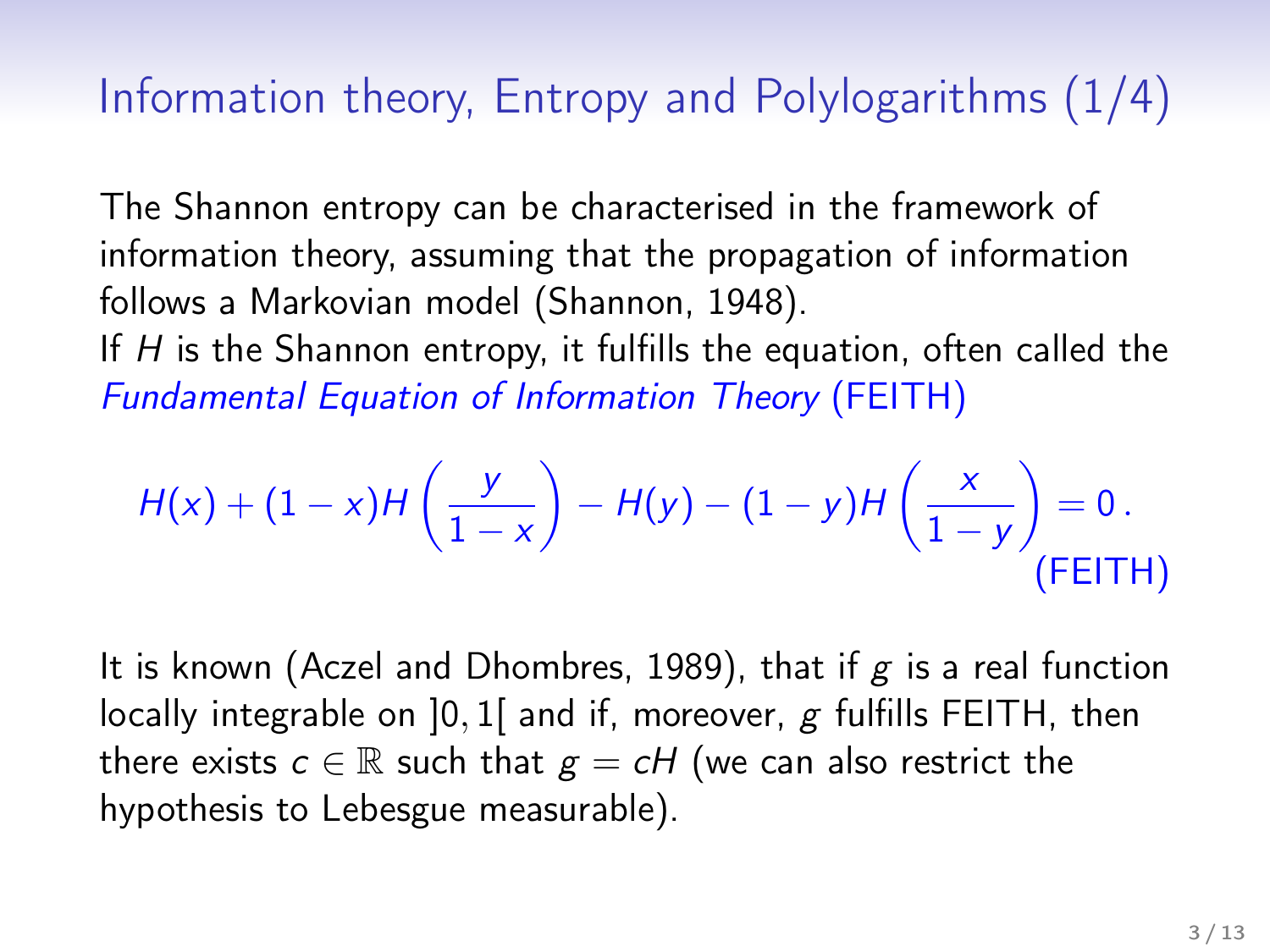### Information theory, Entropy and Polylogarithms (1/4)

The Shannon entropy can be characterised in the framework of information theory, assuming that the propagation of information follows a Markovian model (Shannon, 1948).

If  $H$  is the Shannon entropy, it fulfills the equation, often called the Fundamental Equation of Information Theory (FEITH)

$$
H(x) + (1-x)H\left(\frac{y}{1-x}\right) - H(y) - (1-y)H\left(\frac{x}{1-y}\right) = 0.
$$
\n(FELTH)

It is known (Aczel and Dhombres, 1989), that if  $g$  is a real function locally integrable on  $]0,1[$  and if, moreover, g fulfills FEITH, then there exists  $c \in \mathbb{R}$  such that  $g = cH$  (we can also restrict the hypothesis to Lebesgue measurable).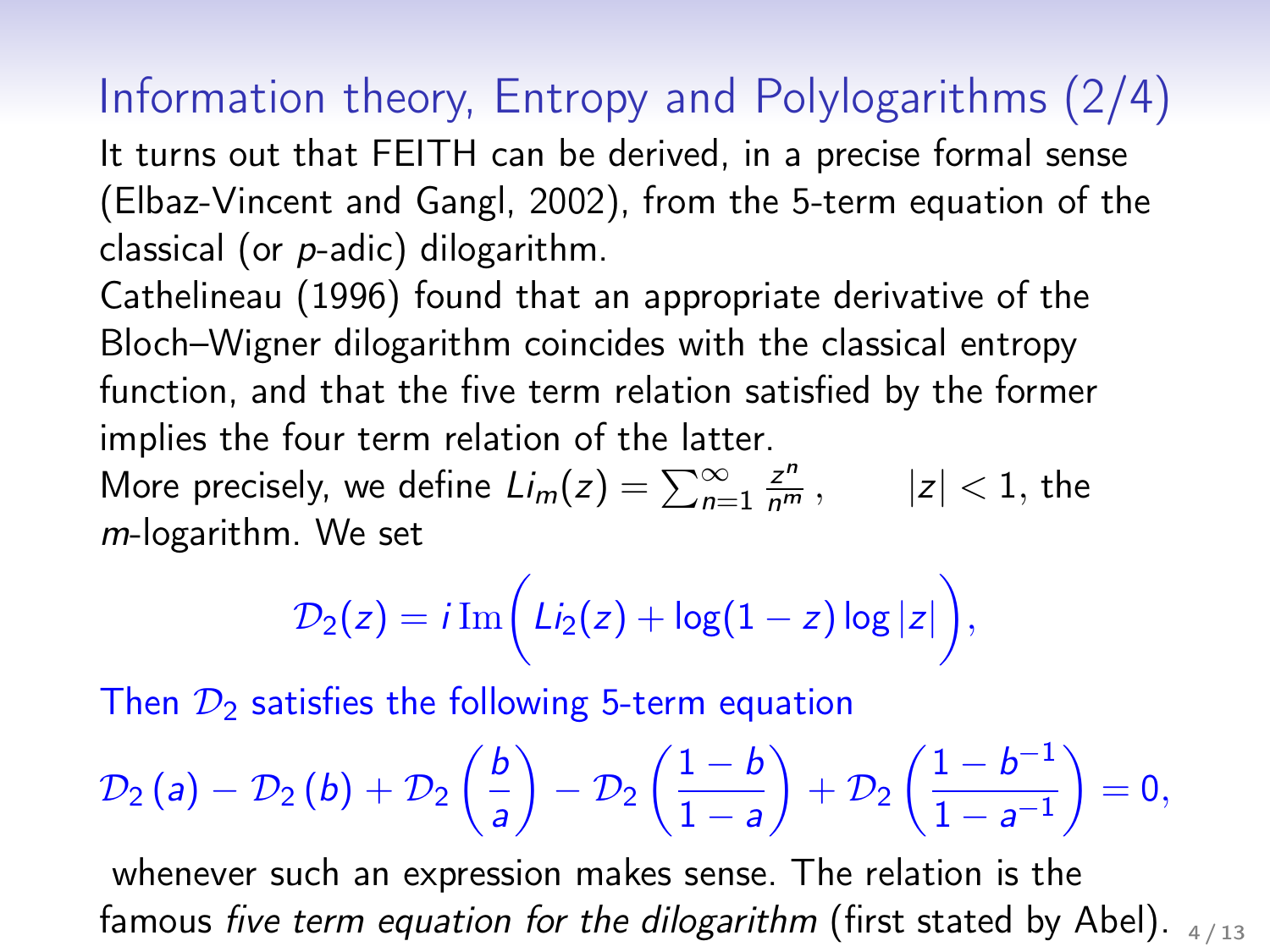# Information theory, Entropy and Polylogarithms (2/4)

It turns out that FEITH can be derived, in a precise formal sense (Elbaz-Vincent and Gangl, 2002), from the 5-term equation of the classical (or p-adic) dilogarithm.

Cathelineau (1996) found that an appropriate derivative of the Bloch–Wigner dilogarithm coincides with the classical entropy function, and that the five term relation satisfied by the former implies the four term relation of the latter.

More precisely, we define  $L i_m(z) = \sum_{n=1}^{\infty} \frac{z^n}{n^m}$ ,  $|z| < 1$ , the m-logarithm. We set

$$
\mathcal{D}_2(z) = i \operatorname{Im} \biggl( \mathcal{L}i_2(z) + \log(1-z) \log|z| \biggr),
$$

Then  $\mathcal{D}_2$  satisfies the following 5-term equation

$$
\mathcal{D}_2(a) - \mathcal{D}_2(b) + \mathcal{D}_2\left(\frac{b}{a}\right) - \mathcal{D}_2\left(\frac{1-b}{1-a}\right) + \mathcal{D}_2\left(\frac{1-b^{-1}}{1-a^{-1}}\right) = 0,
$$

whenever such an expression makes sense. The relation is the famous five term equation for the dilogarithm (first stated by Abel).  $4/13$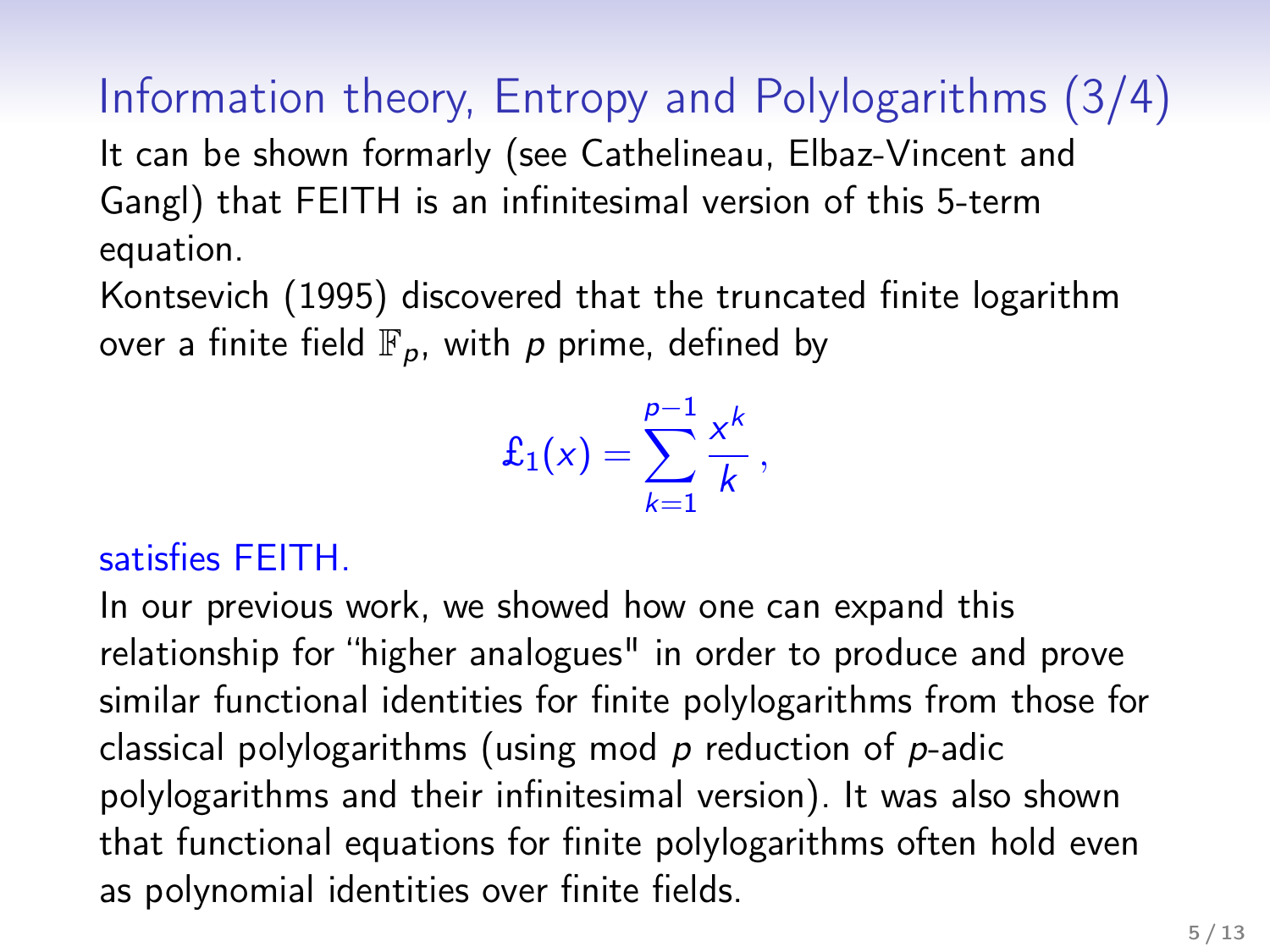Information theory, Entropy and Polylogarithms (3/4) It can be shown formarly (see Cathelineau, Elbaz-Vincent and Gangl) that FEITH is an infinitesimal version of this 5-term equation.

Kontsevich (1995) discovered that the truncated finite logarithm over a finite field  $\mathbb{F}_p$ , with p prime, defined by

$$
\pounds_1(x) = \sum_{k=1}^{p-1} \frac{x^k}{k},
$$

#### satisfies FEITH.

In our previous work, we showed how one can expand this relationship for "higher analogues" in order to produce and prove similar functional identities for finite polylogarithms from those for classical polylogarithms (using mod  $p$  reduction of  $p$ -adic polylogarithms and their infinitesimal version). It was also shown that functional equations for finite polylogarithms often hold even as polynomial identities over finite fields.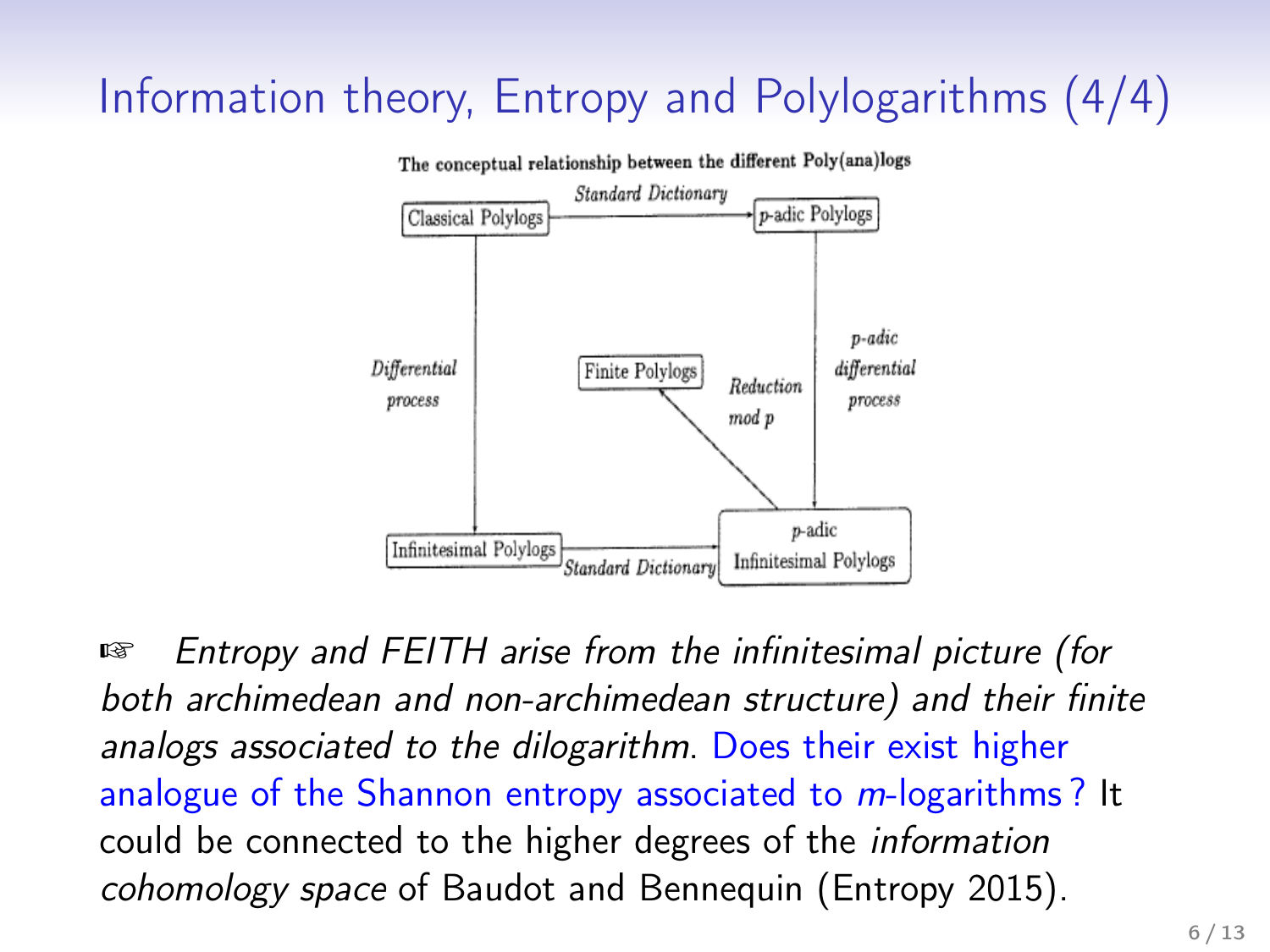# Information theory, Entropy and Polylogarithms (4/4)



☞ Entropy and FEITH arise from the infinitesimal picture (for both archimedean and non-archimedean structure) and their finite analogs associated to the dilogarithm. Does their exist higher analogue of the Shannon entropy associated to *m*-logarithms? It could be connected to the higher degrees of the information cohomology space of Baudot and Bennequin (Entropy 2015).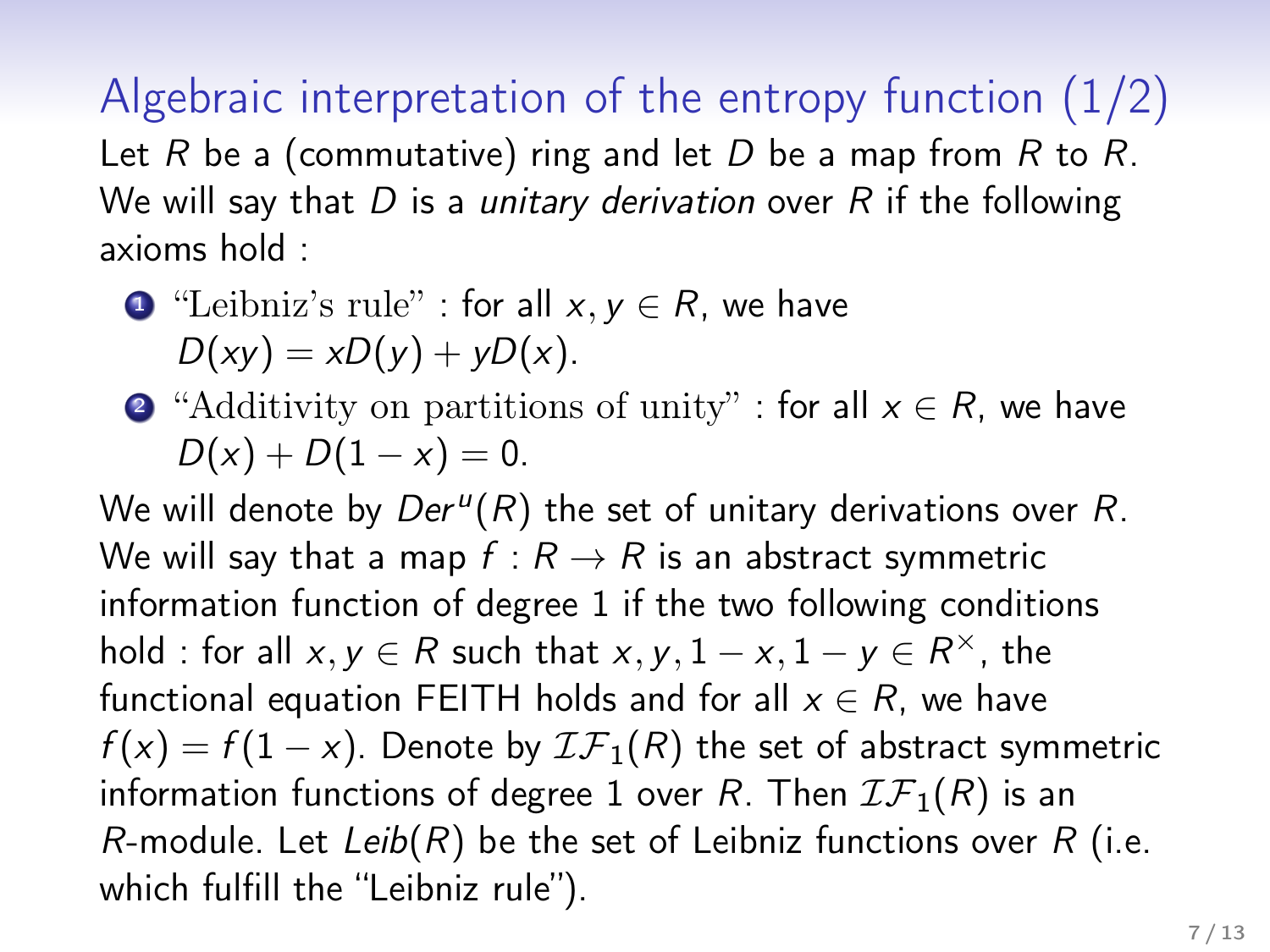Algebraic interpretation of the entropy function (1/2) Let R be a (commutative) ring and let D be a map from R to R. We will say that  $D$  is a unitary derivation over  $R$  if the following axioms hold :

• "Leibniz's rule" : for all 
$$
x, y \in R
$$
, we have  $D(xy) = xD(y) + yD(x)$ .

2 "Additivity on partitions of unity" : for all  $x \in R$ , we have  $D(x) + D(1 - x) = 0.$ 

We will denote by  $Der<sup>u</sup>(R)$  the set of unitary derivations over R. We will say that a map  $f: R \rightarrow R$  is an abstract symmetric information function of degree 1 if the two following conditions hold : for all  $x, y \in R$  such that  $x, y, 1 - x, 1 - y \in R^{\times}$ , the functional equation FEITH holds and for all  $x \in R$ , we have  $f(x) = f(1-x)$ . Denote by  $\mathcal{IF}_1(R)$  the set of abstract symmetric information functions of degree 1 over R. Then  $IF_1(R)$  is an R-module. Let Leib(R) be the set of Leibniz functions over  $R$  (i.e. which fulfill the "Leibniz rule").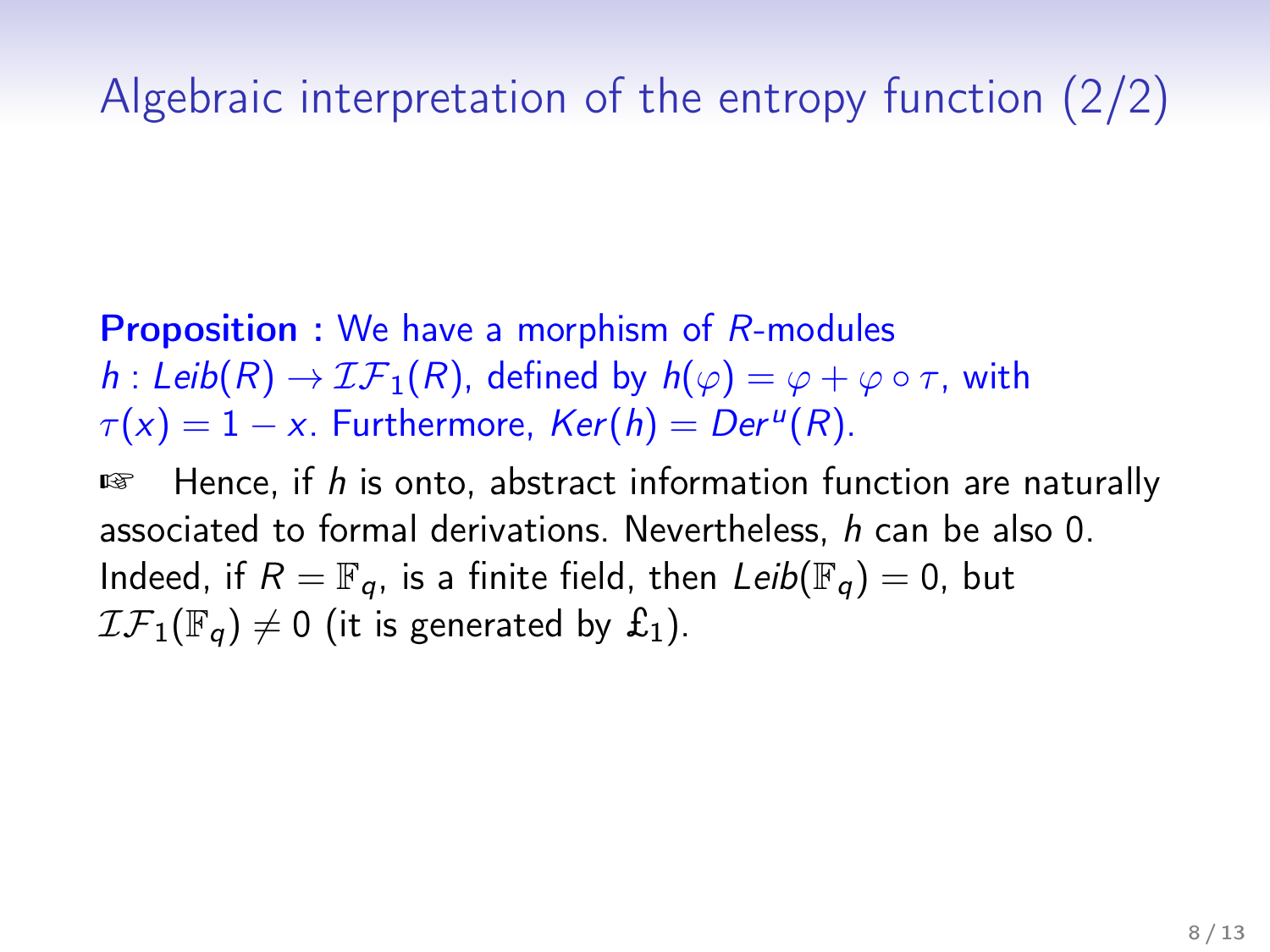# Algebraic interpretation of the entropy function (2/2)

Proposition : We have a morphism of R-modules h : Leib(R)  $\rightarrow$   $LF_1(R)$ , defined by  $h(\varphi) = \varphi + \varphi \circ \tau$ , with  $\tau(x) = 1 - x$ . Furthermore,  $Ker(h) = Der^{u}(R)$ .

 $E$  Hence, if h is onto, abstract information function are naturally associated to formal derivations. Nevertheless, h can be also 0. Indeed, if  $R = \mathbb{F}_q$ , is a finite field, then  $Leib(\mathbb{F}_q) = 0$ , but  $\mathcal{IF}_1(\mathbb{F}_q) \neq 0$  (it is generated by  $\pounds_1$ ).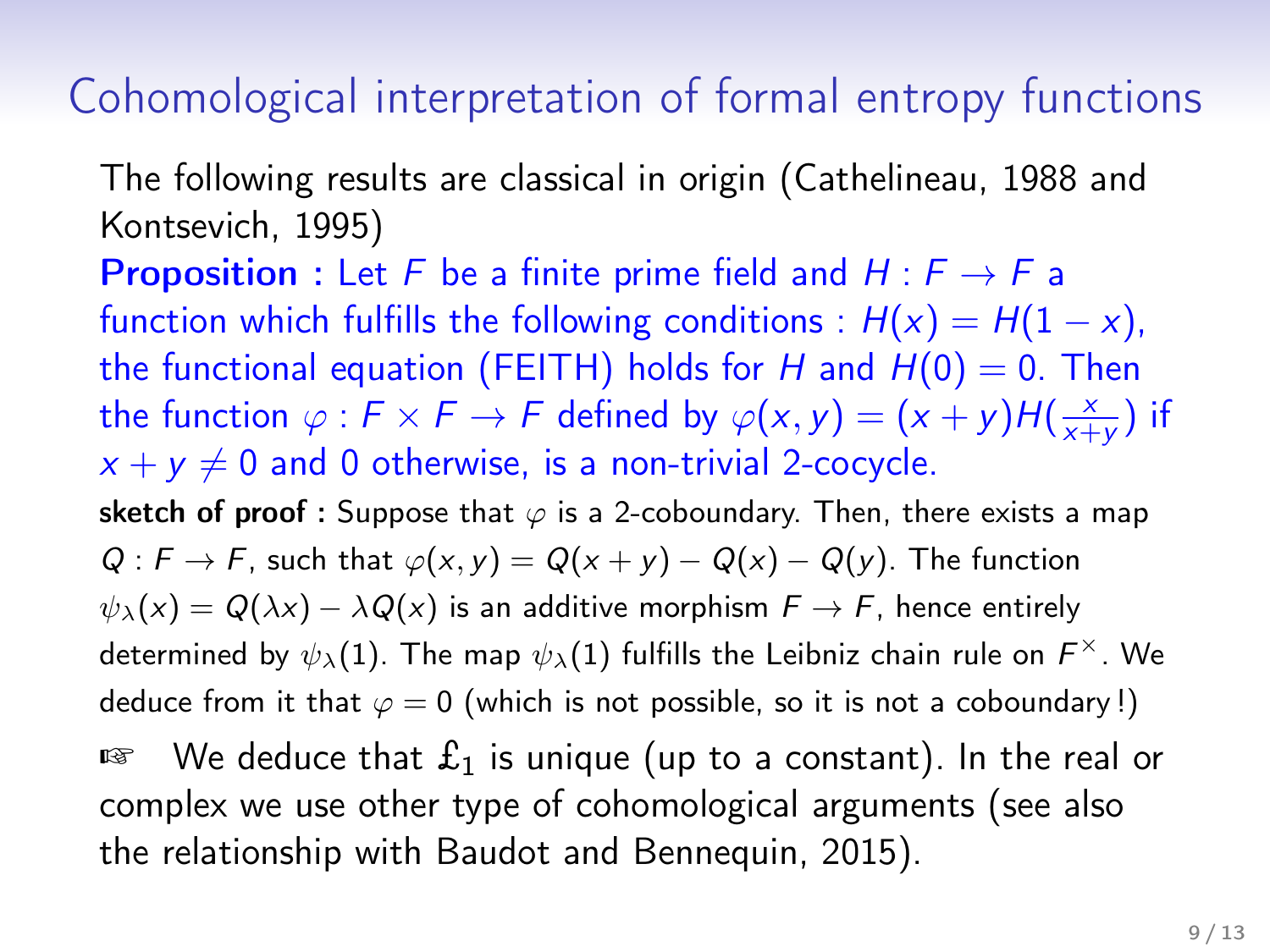#### Cohomological interpretation of formal entropy functions

The following results are classical in origin (Cathelineau, 1988 and Kontsevich, 1995)

**Proposition** : Let F be a finite prime field and  $H : F \rightarrow F$  a function which fulfills the following conditions :  $H(x) = H(1 - x)$ , the functional equation (FEITH) holds for H and  $H(0) = 0$ . Then the function  $\varphi : F \times F \to F$  defined by  $\varphi(x, y) = (x + y)H(\frac{x}{x + y})$  $\frac{x}{x+y}$ ) if  $x + y \neq 0$  and 0 otherwise, is a non-trivial 2-cocycle. sketch of proof : Suppose that  $\varphi$  is a 2-coboundary. Then, there exists a map  $Q : F \to F$ , such that  $\varphi(x, y) = Q(x + y) - Q(x) - Q(y)$ . The function  $\psi_{\lambda}(x) = Q(\lambda x) - \lambda Q(x)$  is an additive morphism  $F \to F$ , hence entirely determined by  $\psi_\lambda(1)$ . The map  $\psi_\lambda(1)$  fulfills the Leibniz chain rule on  $\mathsf{F}^\times.$  We deduce from it that  $\varphi = 0$  (which is not possible, so it is not a coboundary!)

□ We deduce that  $\pounds_1$  is unique (up to a constant). In the real or complex we use other type of cohomological arguments (see also the relationship with Baudot and Bennequin, 2015).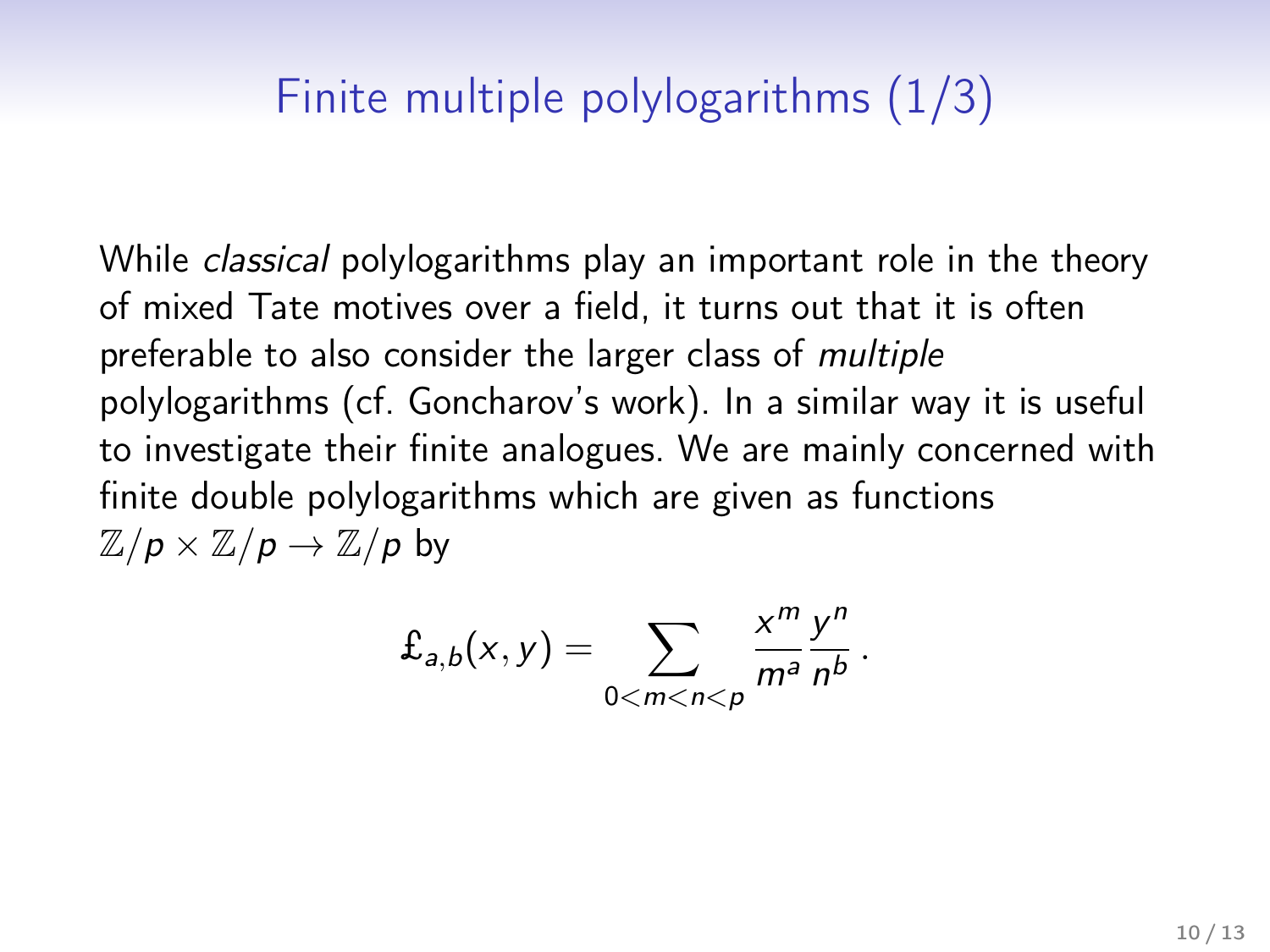# Finite multiple polylogarithms (1/3)

While *classical* polylogarithms play an important role in the theory of mixed Tate motives over a field, it turns out that it is often preferable to also consider the larger class of multiple polylogarithms (cf. Goncharov's work). In a similar way it is useful to investigate their finite analogues. We are mainly concerned with finite double polylogarithms which are given as functions  $\mathbb{Z}/p \times \mathbb{Z}/p \to \mathbb{Z}/p$  by

$$
\pounds_{a,b}(x,y)=\sum_{0
$$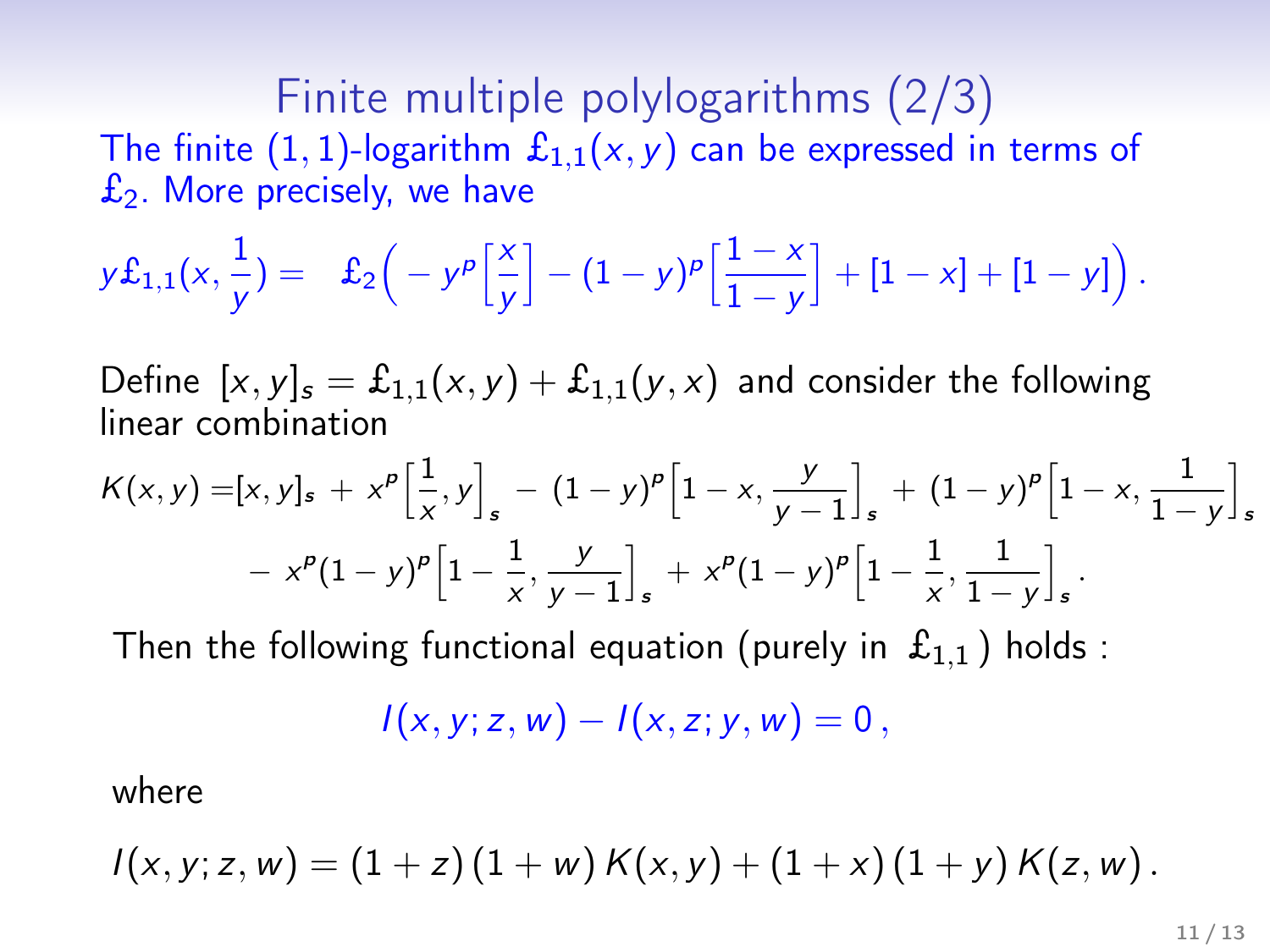Finite multiple polylogarithms (2/3) The finite (1, 1)-logarithm  $\mathfrak{L}_{1,1}(x, y)$  can be expressed in terms of  $\mathfrak{L}_2$ . More precisely, we have

$$
y\mathcal{L}_{1,1}(x,\frac{1}{y}) = \mathcal{L}_2\left(-y^p\left[\frac{x}{y}\right] - (1-y)^p\left[\frac{1-x}{1-y}\right] + [1-x] + [1-y]\right).
$$

Define  $[x, y]_s = \pounds_{1,1}(x, y) + \pounds_{1,1}(y, x)$  and consider the following linear combination

$$
K(x,y) = [x, y]_s + x^p \left[\frac{1}{x}, y\right]_s - (1-y)^p \left[1-x, \frac{y}{y-1}\right]_s + (1-y)^p \left[1-x, \frac{1}{1-y}\right]_s
$$
  
-  $x^p (1-y)^p \left[1-\frac{1}{x}, \frac{y}{y-1}\right]_s + x^p (1-y)^p \left[1-\frac{1}{x}, \frac{1}{1-y}\right]_s.$ 

Then the following functional equation (purely in  $\mathfrak{L}_{1,1}$ ) holds :

$$
I(x, y; z, w) - I(x, z; y, w) = 0,
$$

where

$$
I(x, y; z, w) = (1 + z) (1 + w) K(x, y) + (1 + x) (1 + y) K(z, w).
$$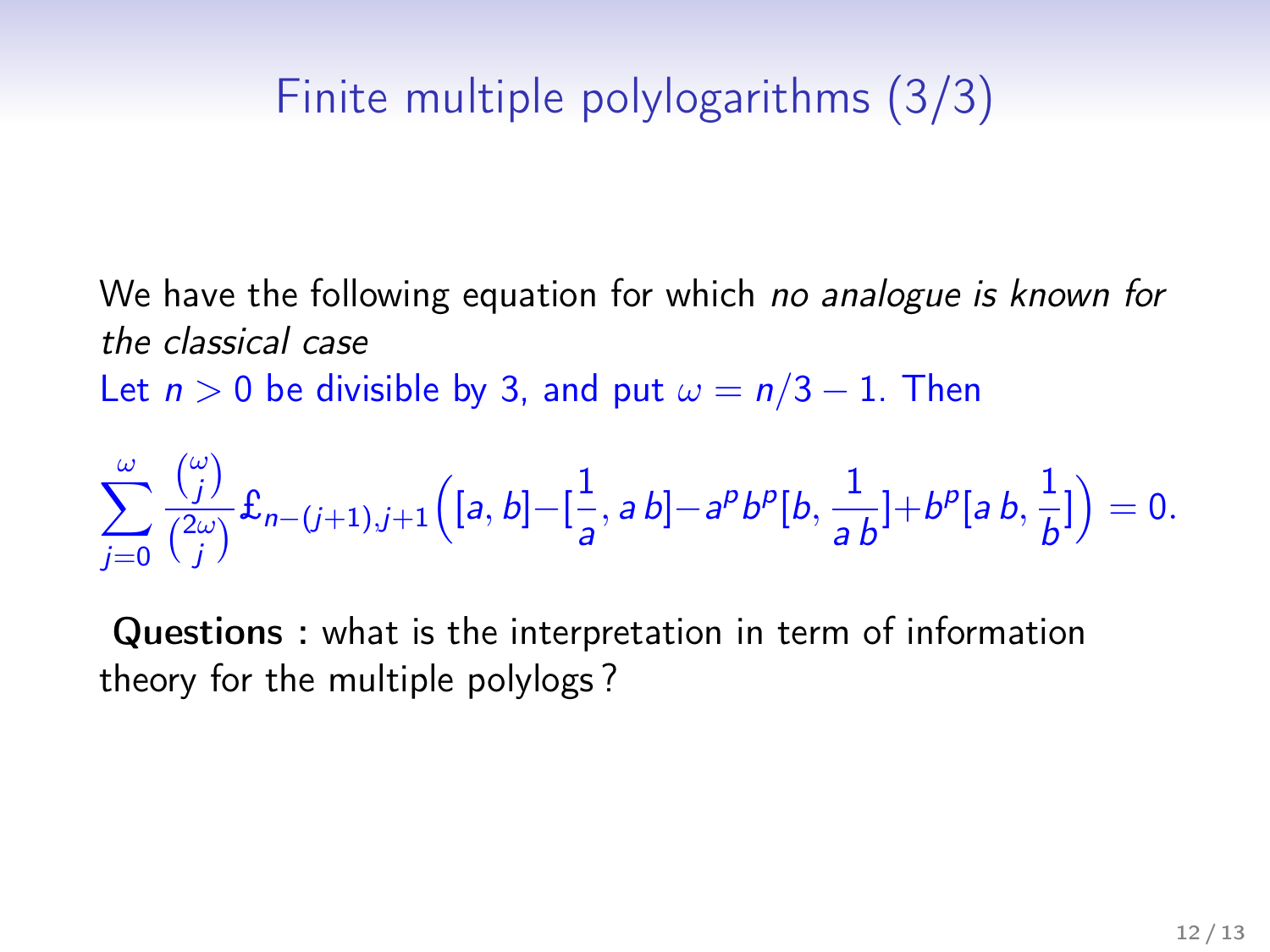# Finite multiple polylogarithms (3/3)

We have the following equation for which no analogue is known for the classical case

Let  $n > 0$  be divisible by 3, and put  $\omega = n/3 - 1$ . Then

$$
\sum_{j=0}^{\omega} \frac{\binom{\omega}{j}}{\binom{2\omega}{j}} \mathbf{f}_{n-(j+1),j+1} \Big( [a,b] - \left[\frac{1}{a}, ab\right] - a^p b^p [b, \frac{1}{ab}] + b^p [a,b, \frac{1}{b}] \Big) = 0.
$$

Questions : what is the interpretation in term of information theory for the multiple polylogs ?